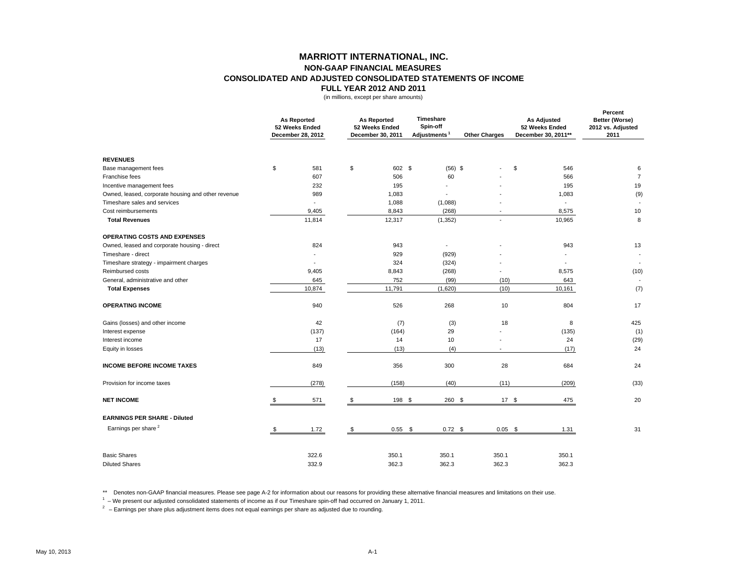## **MARRIOTT INTERNATIONAL, INC. NON-GAAP FINANCIAL MEASURES CONSOLIDATED AND ADJUSTED CONSOLIDATED STATEMENTS OF INCOMEFULL YEAR 2012 AND 2011**

(in millions, except per share amounts)

|                                                    | <b>As Reported</b><br>52 Weeks Ended<br>December 28, 2012 |                          | <b>As Reported</b><br>52 Weeks Ended<br>December 30, 2011 |           | Timeshare<br>Spin-off<br>Adjustments <sup>1</sup> | <b>Other Charges</b> | <b>As Adjusted</b><br>52 Weeks Ended<br>December 30, 2011** | Percent<br>Better (Worse)<br>2012 vs. Adjusted<br>2011 |
|----------------------------------------------------|-----------------------------------------------------------|--------------------------|-----------------------------------------------------------|-----------|---------------------------------------------------|----------------------|-------------------------------------------------------------|--------------------------------------------------------|
| <b>REVENUES</b>                                    |                                                           |                          |                                                           |           |                                                   |                      |                                                             |                                                        |
| Base management fees                               | \$                                                        | 581                      | \$                                                        | 602 \$    | $(56)$ \$                                         |                      | \$<br>546                                                   | 6                                                      |
| Franchise fees                                     |                                                           | 607                      |                                                           | 506       | 60                                                |                      | 566                                                         | $\overline{7}$                                         |
| Incentive management fees                          |                                                           | 232                      |                                                           | 195       |                                                   |                      | 195                                                         | 19                                                     |
| Owned, leased, corporate housing and other revenue |                                                           | 989                      |                                                           | 1,083     |                                                   |                      | 1,083                                                       | (9)                                                    |
| Timeshare sales and services                       |                                                           | $\overline{\phantom{a}}$ |                                                           | 1,088     | (1,088)                                           |                      | $\overline{\phantom{a}}$                                    |                                                        |
| Cost reimbursements                                |                                                           | 9,405                    |                                                           | 8,843     | (268)                                             |                      | 8,575                                                       | 10                                                     |
| <b>Total Revenues</b>                              |                                                           | 11,814                   |                                                           | 12,317    | (1, 352)                                          |                      | 10,965                                                      | 8                                                      |
| <b>OPERATING COSTS AND EXPENSES</b>                |                                                           |                          |                                                           |           |                                                   |                      |                                                             |                                                        |
| Owned, leased and corporate housing - direct       |                                                           | 824                      |                                                           | 943       | $\overline{\phantom{a}}$                          |                      | 943                                                         | 13                                                     |
| Timeshare - direct                                 |                                                           |                          |                                                           | 929       | (929)                                             |                      |                                                             |                                                        |
| Timeshare strategy - impairment charges            |                                                           |                          |                                                           | 324       | (324)                                             |                      |                                                             |                                                        |
| Reimbursed costs                                   |                                                           | 9,405                    |                                                           | 8,843     | (268)                                             |                      | 8,575                                                       | (10)                                                   |
| General, administrative and other                  |                                                           | 645                      |                                                           | 752       | (99)                                              | (10)                 | 643                                                         |                                                        |
| <b>Total Expenses</b>                              |                                                           | 10,874                   |                                                           | 11,791    | (1,620)                                           | (10)                 | 10,161                                                      | (7)                                                    |
| <b>OPERATING INCOME</b>                            |                                                           | 940                      |                                                           | 526       | 268                                               | 10                   | 804                                                         | 17                                                     |
| Gains (losses) and other income                    |                                                           | 42                       |                                                           | (7)       | (3)                                               | 18                   | 8                                                           | 425                                                    |
| Interest expense                                   |                                                           | (137)                    |                                                           | (164)     | 29                                                |                      | (135)                                                       | (1)                                                    |
| Interest income                                    |                                                           | 17                       |                                                           | 14        | 10                                                |                      | 24                                                          | (29)                                                   |
| Equity in losses                                   |                                                           | (13)                     |                                                           | (13)      | (4)                                               |                      | (17)                                                        | 24                                                     |
| <b>INCOME BEFORE INCOME TAXES</b>                  |                                                           | 849                      |                                                           | 356       | 300                                               | 28                   | 684                                                         | 24                                                     |
| Provision for income taxes                         |                                                           | (278)                    |                                                           | (158)     | (40)                                              | (11)                 | (209)                                                       | (33)                                                   |
| <b>NET INCOME</b>                                  |                                                           | 571                      |                                                           | 198 \$    | 260 \$                                            |                      | 17S<br>475                                                  | 20                                                     |
| <b>EARNINGS PER SHARE - Diluted</b>                |                                                           |                          |                                                           |           |                                                   |                      |                                                             |                                                        |
| Earnings per share <sup>2</sup>                    |                                                           | 1.72                     | \$                                                        | $0.55$ \$ | $0.72$ \$                                         | $0.05$ \$            | 1.31                                                        | 31                                                     |
| <b>Basic Shares</b>                                |                                                           | 322.6                    |                                                           | 350.1     | 350.1                                             | 350.1                | 350.1                                                       |                                                        |
| <b>Diluted Shares</b>                              |                                                           | 332.9                    |                                                           | 362.3     | 362.3                                             | 362.3                | 362.3                                                       |                                                        |

\*\* Denotes non-GAAP financial measures. Please see page A-2 for information about our reasons for providing these alternative financial measures and limitations on their use.

 $1 -$  We present our adjusted consolidated statements of income as if our Timeshare spin-off had occurred on January 1, 2011.

 $2 -$  Earnings per share plus adjustment items does not equal earnings per share as adjusted due to rounding.